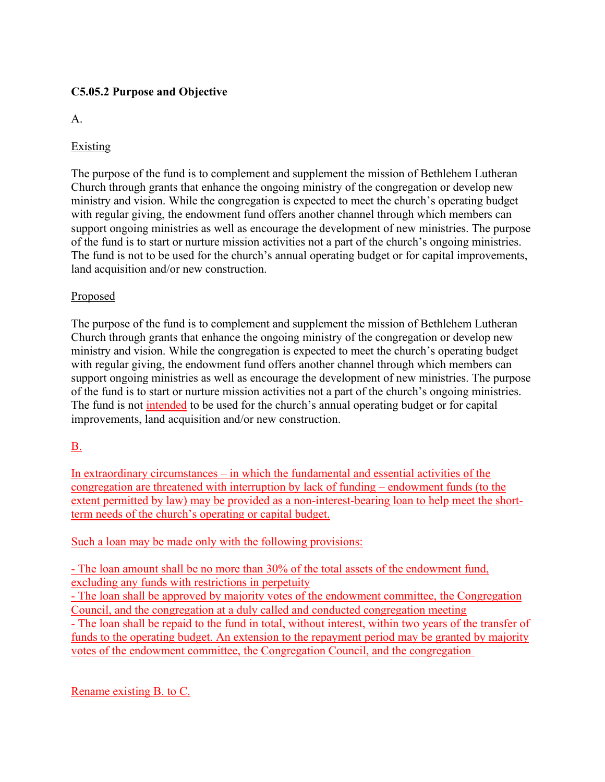# **C5.05.2 Purpose and Objective**

A.

# **Existing**

The purpose of the fund is to complement and supplement the mission of Bethlehem Lutheran Church through grants that enhance the ongoing ministry of the congregation or develop new ministry and vision. While the congregation is expected to meet the church's operating budget with regular giving, the endowment fund offers another channel through which members can support ongoing ministries as well as encourage the development of new ministries. The purpose of the fund is to start or nurture mission activities not a part of the church's ongoing ministries. The fund is not to be used for the church's annual operating budget or for capital improvements, land acquisition and/or new construction.

### Proposed

The purpose of the fund is to complement and supplement the mission of Bethlehem Lutheran Church through grants that enhance the ongoing ministry of the congregation or develop new ministry and vision. While the congregation is expected to meet the church's operating budget with regular giving, the endowment fund offers another channel through which members can support ongoing ministries as well as encourage the development of new ministries. The purpose of the fund is to start or nurture mission activities not a part of the church's ongoing ministries. The fund is not intended to be used for the church's annual operating budget or for capital improvements, land acquisition and/or new construction.

# B.

In extraordinary circumstances – in which the fundamental and essential activities of the congregation are threatened with interruption by lack of funding – endowment funds (to the extent permitted by law) may be provided as a non-interest-bearing loan to help meet the shortterm needs of the church's operating or capital budget.

### Such a loan may be made only with the following provisions:

- The loan amount shall be no more than 30% of the total assets of the endowment fund, excluding any funds with restrictions in perpetuity

- The loan shall be approved by majority votes of the endowment committee, the Congregation Council, and the congregation at a duly called and conducted congregation meeting

- The loan shall be repaid to the fund in total, without interest, within two years of the transfer of funds to the operating budget. An extension to the repayment period may be granted by majority votes of the endowment committee, the Congregation Council, and the congregation

Rename existing B. to C.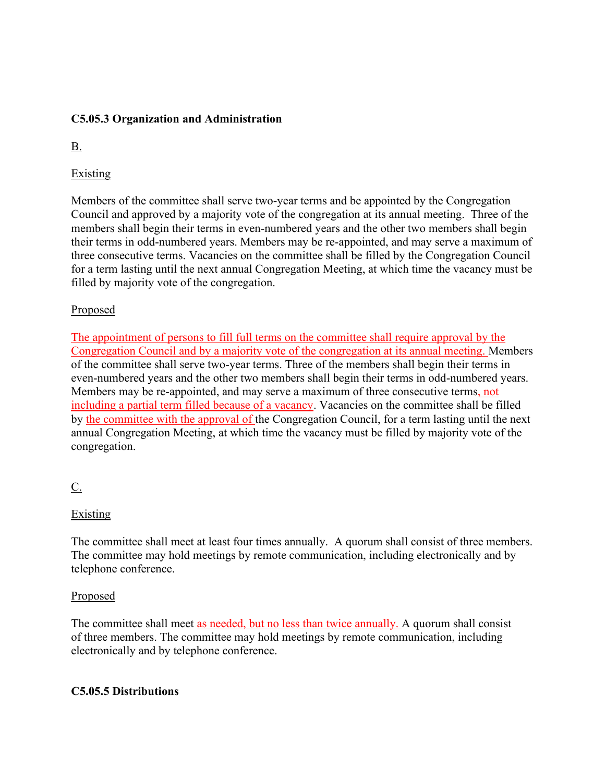### **C5.05.3 Organization and Administration**

B.

# Existing

Members of the committee shall serve two-year terms and be appointed by the Congregation Council and approved by a majority vote of the congregation at its annual meeting. Three of the members shall begin their terms in even-numbered years and the other two members shall begin their terms in odd-numbered years. Members may be re-appointed, and may serve a maximum of three consecutive terms. Vacancies on the committee shall be filled by the Congregation Council for a term lasting until the next annual Congregation Meeting, at which time the vacancy must be filled by majority vote of the congregation.

### Proposed

The appointment of persons to fill full terms on the committee shall require approval by the Congregation Council and by a majority vote of the congregation at its annual meeting. Members of the committee shall serve two-year terms. Three of the members shall begin their terms in even-numbered years and the other two members shall begin their terms in odd-numbered years. Members may be re-appointed, and may serve a maximum of three consecutive terms, not including a partial term filled because of a vacancy. Vacancies on the committee shall be filled by the committee with the approval of the Congregation Council, for a term lasting until the next annual Congregation Meeting, at which time the vacancy must be filled by majority vote of the congregation.

# $C_{\cdot}$

# Existing

The committee shall meet at least four times annually. A quorum shall consist of three members. The committee may hold meetings by remote communication, including electronically and by telephone conference.

### Proposed

The committee shall meet as needed, but no less than twice annually. A quorum shall consist of three members. The committee may hold meetings by remote communication, including electronically and by telephone conference.

### **C5.05.5 Distributions**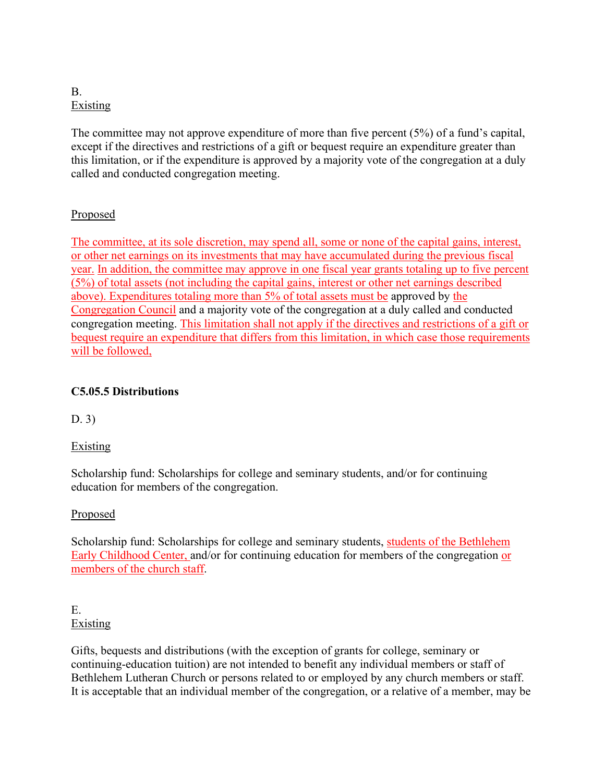### B. Existing

The committee may not approve expenditure of more than five percent (5%) of a fund's capital, except if the directives and restrictions of a gift or bequest require an expenditure greater than this limitation, or if the expenditure is approved by a majority vote of the congregation at a duly called and conducted congregation meeting.

# Proposed

The committee, at its sole discretion, may spend all, some or none of the capital gains, interest, or other net earnings on its investments that may have accumulated during the previous fiscal year. In addition, the committee may approve in one fiscal year grants totaling up to five percent (5%) of total assets (not including the capital gains, interest or other net earnings described above). Expenditures totaling more than 5% of total assets must be approved by the Congregation Council and a majority vote of the congregation at a duly called and conducted congregation meeting. This limitation shall not apply if the directives and restrictions of a gift or bequest require an expenditure that differs from this limitation, in which case those requirements will be followed,

### **C5.05.5 Distributions**

D. 3)

### Existing

Scholarship fund: Scholarships for college and seminary students, and/or for continuing education for members of the congregation.

### Proposed

Scholarship fund: Scholarships for college and seminary students, students of the Bethlehem Early Childhood Center, and/or for continuing education for members of the congregation or members of the church staff.

#### E. **Existing**

Gifts, bequests and distributions (with the exception of grants for college, seminary or continuing-education tuition) are not intended to benefit any individual members or staff of Bethlehem Lutheran Church or persons related to or employed by any church members or staff. It is acceptable that an individual member of the congregation, or a relative of a member, may be